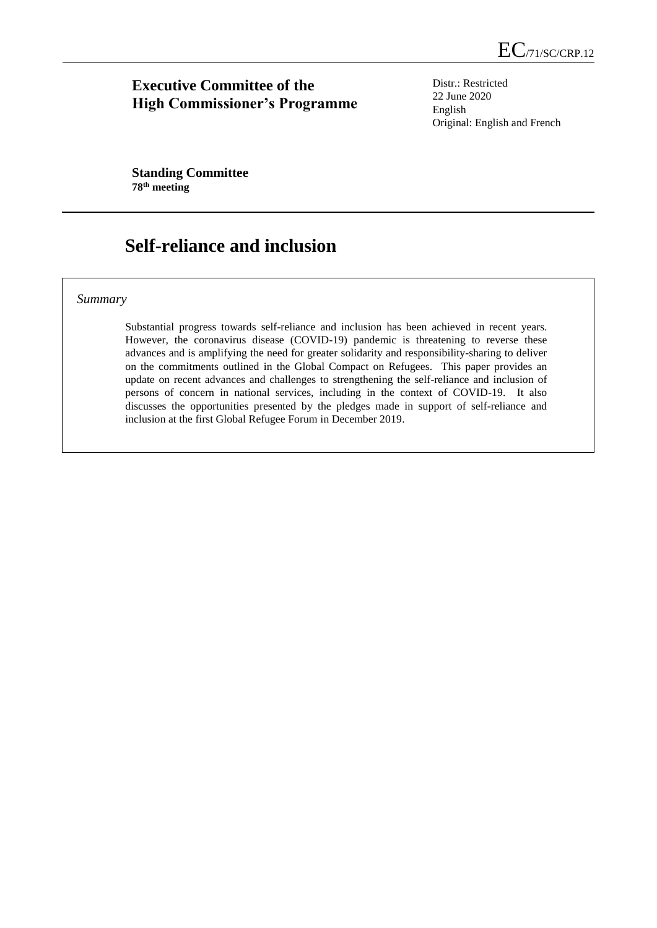## **Executive Committee of the High Commissioner's Programme**

Distr.: Restricted 22 June 2020 English Original: English and French

**Standing Committee 78th meeting**

# **Self-reliance and inclusion**

#### *Summary*

Substantial progress towards self-reliance and inclusion has been achieved in recent years. However, the coronavirus disease (COVID-19) pandemic is threatening to reverse these advances and is amplifying the need for greater solidarity and responsibility-sharing to deliver on the commitments outlined in the Global Compact on Refugees. This paper provides an update on recent advances and challenges to strengthening the self-reliance and inclusion of persons of concern in national services, including in the context of COVID-19. It also discusses the opportunities presented by the pledges made in support of self-reliance and inclusion at the first Global Refugee Forum in December 2019.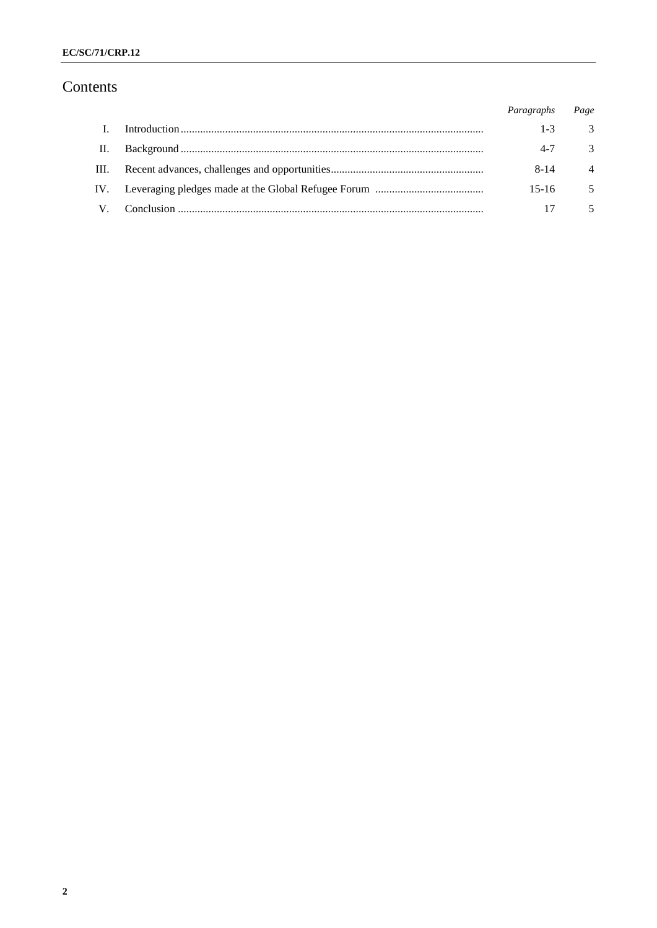# Contents

|              | Paragraphs | Page                    |
|--------------|------------|-------------------------|
| $\mathbf{L}$ | $1 - 3$    | $\overline{\mathbf{3}}$ |
| П.           | $4 - 7$    | 3                       |
| III.         | $8 - 14$   | $\overline{4}$          |
|              | $15-16$    | $\overline{5}$          |
| $V_{\perp}$  | 17         | 5                       |
|              |            |                         |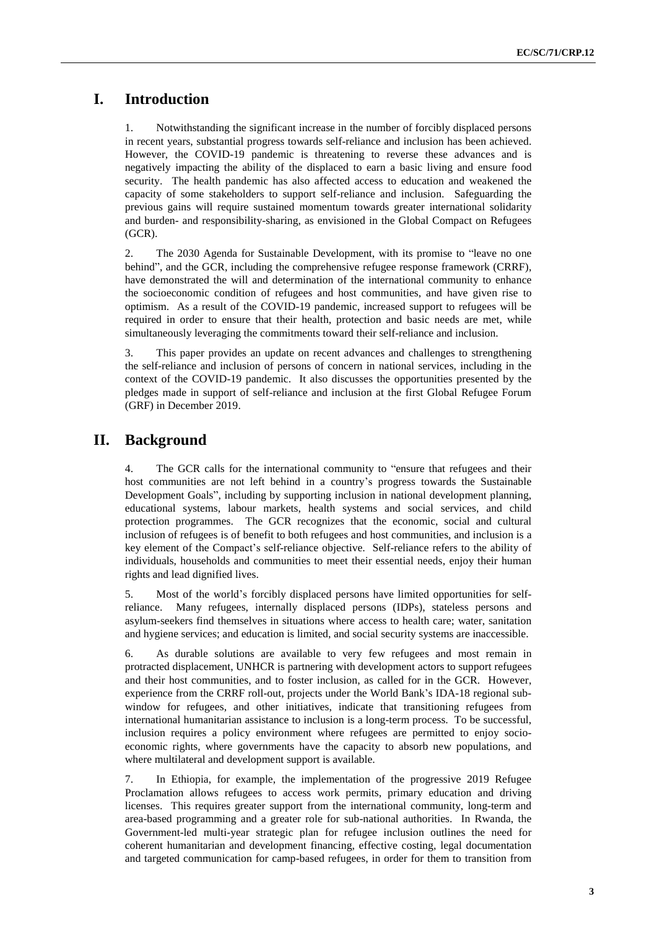### **I. Introduction**

1. Notwithstanding the significant increase in the number of forcibly displaced persons in recent years, substantial progress towards self-reliance and inclusion has been achieved. However, the COVID-19 pandemic is threatening to reverse these advances and is negatively impacting the ability of the displaced to earn a basic living and ensure food security. The health pandemic has also affected access to education and weakened the capacity of some stakeholders to support self-reliance and inclusion. Safeguarding the previous gains will require sustained momentum towards greater international solidarity and burden- and responsibility-sharing, as envisioned in the Global Compact on Refugees (GCR).

2. The 2030 Agenda for Sustainable Development, with its promise to "leave no one behind", and the GCR, including the comprehensive refugee response framework (CRRF), have demonstrated the will and determination of the international community to enhance the socioeconomic condition of refugees and host communities, and have given rise to optimism. As a result of the COVID-19 pandemic, increased support to refugees will be required in order to ensure that their health, protection and basic needs are met, while simultaneously leveraging the commitments toward their self-reliance and inclusion.

3. This paper provides an update on recent advances and challenges to strengthening the self-reliance and inclusion of persons of concern in national services, including in the context of the COVID-19 pandemic. It also discusses the opportunities presented by the pledges made in support of self-reliance and inclusion at the first Global Refugee Forum (GRF) in December 2019.

#### **II. Background**

4. The GCR calls for the international community to "ensure that refugees and their host communities are not left behind in a country's progress towards the Sustainable Development Goals", including by supporting inclusion in national development planning, educational systems, labour markets, health systems and social services, and child protection programmes. The GCR recognizes that the economic, social and cultural inclusion of refugees is of benefit to both refugees and host communities, and inclusion is a key element of the Compact's self-reliance objective. Self-reliance refers to the ability of individuals, households and communities to meet their essential needs, enjoy their human rights and lead dignified lives.

5. Most of the world's forcibly displaced persons have limited opportunities for selfreliance. Many refugees, internally displaced persons (IDPs), stateless persons and asylum-seekers find themselves in situations where access to health care; water, sanitation and hygiene services; and education is limited, and social security systems are inaccessible.

6. As durable solutions are available to very few refugees and most remain in protracted displacement, UNHCR is partnering with development actors to support refugees and their host communities, and to foster inclusion, as called for in the GCR. However, experience from the CRRF roll-out, projects under the World Bank's IDA-18 regional subwindow for refugees, and other initiatives, indicate that transitioning refugees from international humanitarian assistance to inclusion is a long-term process. To be successful, inclusion requires a policy environment where refugees are permitted to enjoy socioeconomic rights, where governments have the capacity to absorb new populations, and where multilateral and development support is available.

7. In Ethiopia, for example, the implementation of the progressive 2019 Refugee Proclamation allows refugees to access work permits, primary education and driving licenses. This requires greater support from the international community, long-term and area-based programming and a greater role for sub-national authorities. In Rwanda, the Government-led multi-year strategic plan for refugee inclusion outlines the need for coherent humanitarian and development financing, effective costing, legal documentation and targeted communication for camp-based refugees, in order for them to transition from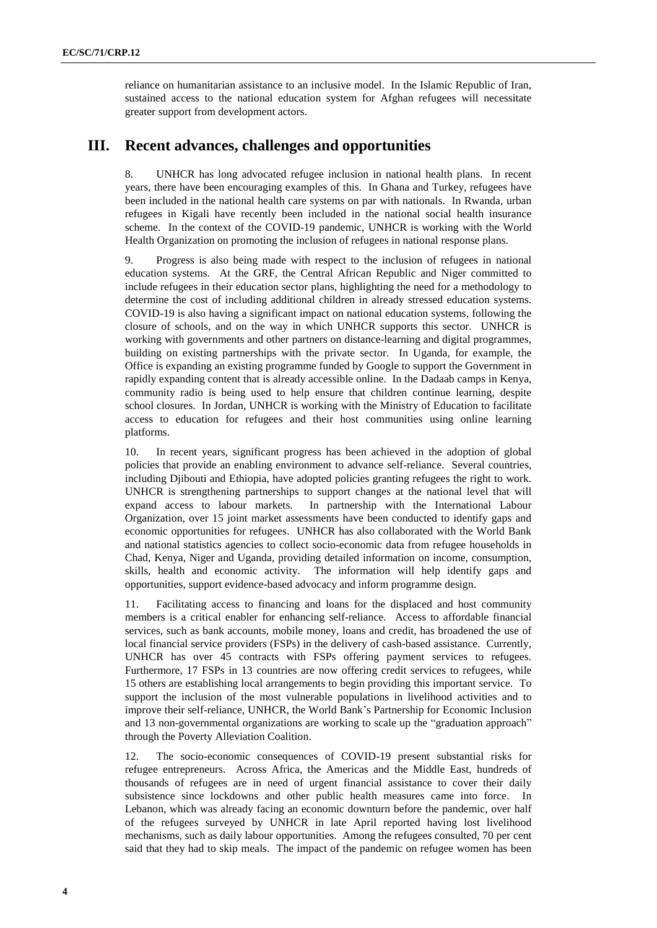reliance on humanitarian assistance to an inclusive model. In the Islamic Republic of Iran, sustained access to the national education system for Afghan refugees will necessitate greater support from development actors.

#### **III. Recent advances, challenges and opportunities**

8. UNHCR has long advocated refugee inclusion in national health plans. In recent years, there have been encouraging examples of this. In Ghana and Turkey, refugees have been included in the national health care systems on par with nationals. In Rwanda, urban refugees in Kigali have recently been included in the national social health insurance scheme. In the context of the COVID-19 pandemic, UNHCR is working with the World Health Organization on promoting the inclusion of refugees in national response plans.

9. Progress is also being made with respect to the inclusion of refugees in national education systems. At the GRF, the Central African Republic and Niger committed to include refugees in their education sector plans, highlighting the need for a methodology to determine the cost of including additional children in already stressed education systems. COVID-19 is also having a significant impact on national education systems, following the closure of schools, and on the way in which UNHCR supports this sector. UNHCR is working with governments and other partners on distance-learning and digital programmes, building on existing partnerships with the private sector. In Uganda, for example, the Office is expanding an existing programme funded by Google to support the Government in rapidly expanding content that is already accessible online. In the Dadaab camps in Kenya, community radio is being used to help ensure that children continue learning, despite school closures. In Jordan, UNHCR is working with the Ministry of Education to facilitate access to education for refugees and their host communities using online learning platforms.

10. In recent years, significant progress has been achieved in the adoption of global policies that provide an enabling environment to advance self-reliance. Several countries, including Djibouti and Ethiopia, have adopted policies granting refugees the right to work. UNHCR is strengthening partnerships to support changes at the national level that will expand access to labour markets. In partnership with the International Labour Organization, over 15 joint market assessments have been conducted to identify gaps and economic opportunities for refugees. UNHCR has also collaborated with the World Bank and national statistics agencies to collect socio-economic data from refugee households in Chad, Kenya, Niger and Uganda, providing detailed information on income, consumption, skills, health and economic activity. The information will help identify gaps and opportunities, support evidence-based advocacy and inform programme design.

11. Facilitating access to financing and loans for the displaced and host community members is a critical enabler for enhancing self-reliance. Access to affordable financial services, such as bank accounts, mobile money, loans and credit, has broadened the use of local financial service providers (FSPs) in the delivery of cash-based assistance. Currently, UNHCR has over 45 contracts with FSPs offering payment services to refugees. Furthermore, 17 FSPs in 13 countries are now offering credit services to refugees, while 15 others are establishing local arrangements to begin providing this important service. To support the inclusion of the most vulnerable populations in livelihood activities and to improve their self-reliance, UNHCR, the World Bank's Partnership for Economic Inclusion and 13 non-governmental organizations are working to scale up the "graduation approach" through the Poverty Alleviation Coalition.

12. The socio-economic consequences of COVID-19 present substantial risks for refugee entrepreneurs. Across Africa, the Americas and the Middle East, hundreds of thousands of refugees are in need of urgent financial assistance to cover their daily subsistence since lockdowns and other public health measures came into force. In Lebanon, which was already facing an economic downturn before the pandemic, over half of the refugees surveyed by UNHCR in late April reported having lost livelihood mechanisms, such as daily labour opportunities. Among the refugees consulted, 70 per cent said that they had to skip meals. The impact of the pandemic on refugee women has been